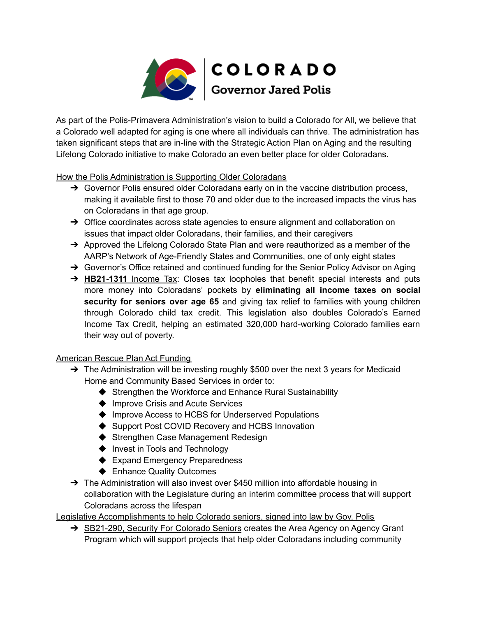

As part of the Polis-Primavera Administration's vision to build a Colorado for All, we believe that a Colorado well adapted for aging is one where all individuals can thrive. The administration has taken significant steps that are in-line with the Strategic Action Plan on Aging and the resulting Lifelong Colorado initiative to make Colorado an even better place for older Coloradans.

How the Polis Administration is Supporting Older Coloradans

- → Governor Polis ensured older Coloradans early on in the vaccine distribution process, making it available first to those 70 and older due to the increased impacts the virus has on Coloradans in that age group.
- → Office coordinates across state agencies to ensure alignment and collaboration on issues that impact older Coloradans, their families, and their caregivers
- $\rightarrow$  Approved the Lifelong Colorado State Plan and were reauthorized as a member of the AARP's Network of Age-Friendly States and Communities, one of only eight states
- → Governor's Office retained and continued funding for the Senior Policy Advisor on Aging
- → HB21-1311 Income Tax: Closes tax loopholes that benefit special interests and puts more money into Coloradans' pockets by **eliminating all income taxes on social security for seniors over age 65** and giving tax relief to families with young children through Colorado child tax credit. This legislation also doubles Colorado's Earned Income Tax Credit, helping an estimated 320,000 hard-working Colorado families earn their way out of poverty.

## American Rescue Plan Act Funding

- → The Administration will be investing roughly \$500 over the next 3 years for Medicaid Home and Community Based Services in order to:
	- ◆ Strengthen the Workforce and Enhance Rural Sustainability
	- ◆ Improve Crisis and Acute Services
	- ◆ Improve Access to HCBS for Underserved Populations
	- ◆ Support Post COVID Recovery and HCBS Innovation
	- ◆ Strengthen Case Management Redesign
	- ◆ Invest in Tools and Technology
	- ◆ Expand Emergency Preparedness
	- ◆ Enhance Quality Outcomes
- $\rightarrow$  The Administration will also invest over \$450 million into affordable housing in collaboration with the Legislature during an interim committee process that will support Coloradans across the lifespan

Legislative Accomplishments to help Colorado seniors, signed into law by Gov. Polis

→ SB21-290, Security For Colorado Seniors creates the Area Agency on Agency Grant Program which will support projects that help older Coloradans including community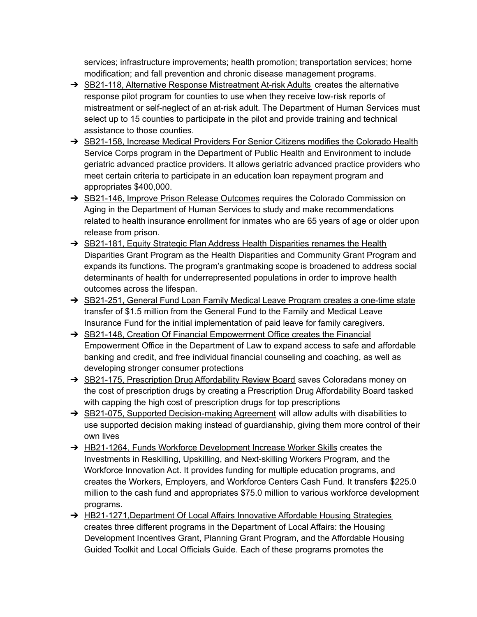services; infrastructure improvements; health promotion; transportation services; home modification; and fall prevention and chronic disease management programs.

- $\rightarrow$  SB21-118, Alternative Response Mistreatment At-risk Adults creates the alternative response pilot program for counties to use when they receive low-risk reports of mistreatment or self-neglect of an at-risk adult. The Department of Human Services must select up to 15 counties to participate in the pilot and provide training and technical assistance to those counties.
- → SB21-158, Increase Medical Providers For Senior Citizens modifies the Colorado Health Service Corps program in the Department of Public Health and Environment to include geriatric advanced practice providers. It allows geriatric advanced practice providers who meet certain criteria to participate in an education loan repayment program and appropriates \$400,000.
- → SB21-146, Improve Prison Release Outcomes requires the Colorado Commission on Aging in the Department of Human Services to study and make recommendations related to health insurance enrollment for inmates who are 65 years of age or older upon release from prison.
- → SB21-181, Equity Strategic Plan Address Health Disparities renames the Health Disparities Grant Program as the Health Disparities and Community Grant Program and expands its functions. The program's grantmaking scope is broadened to address social determinants of health for underrepresented populations in order to improve health outcomes across the lifespan.
- ➔ SB21-251, General Fund Loan Family Medical Leave Program creates a one-time state transfer of \$1.5 million from the General Fund to the Family and Medical Leave Insurance Fund for the initial implementation of paid leave for family caregivers.
- → SB21-148, Creation Of Financial Empowerment Office creates the Financial Empowerment Office in the Department of Law to expand access to safe and affordable banking and credit, and free individual financial counseling and coaching, as well as developing stronger consumer protections
- → SB21-175, Prescription Drug Affordability Review Board saves Coloradans money on the cost of prescription drugs by creating a Prescription Drug Affordability Board tasked with capping the high cost of prescription drugs for top prescriptions
- → SB21-075, Supported Decision-making Agreement will allow adults with disabilities to use supported decision making instead of guardianship, giving them more control of their own lives
- → HB21-1264, Funds Workforce Development Increase Worker Skills creates the Investments in Reskilling, Upskilling, and Next-skilling Workers Program, and the Workforce Innovation Act. It provides funding for multiple education programs, and creates the Workers, Employers, and Workforce Centers Cash Fund. It transfers \$225.0 million to the cash fund and appropriates \$75.0 million to various workforce development programs.
- → HB21-1271, Department Of Local Affairs Innovative Affordable Housing Strategies creates three different programs in the Department of Local Affairs: the Housing Development Incentives Grant, Planning Grant Program, and the Affordable Housing Guided Toolkit and Local Officials Guide. Each of these programs promotes the